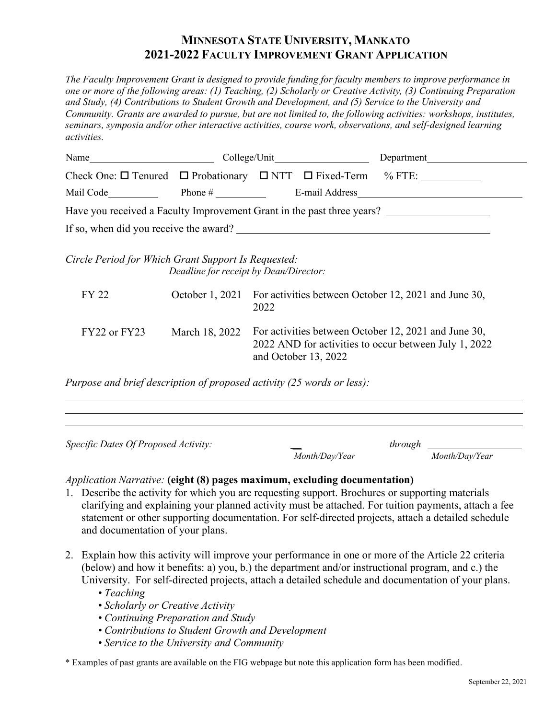## **MINNESOTA STATE UNIVERSITY, MANKATO 2021-2022 FACULTY IMPROVEMENT GRANT APPLICATION**

*The Faculty Improvement Grant is designed to provide funding for faculty members to improve performance in one or more of the following areas: (1) Teaching, (2) Scholarly or Creative Activity, (3) Continuing Preparation and Study, (4) Contributions to Student Growth and Development, and (5) Service to the University and Community. Grants are awarded to pursue, but are not limited to, the following activities: workshops, institutes, seminars, symposia and/or other interactive activities, course work, observations, and self-designed learning activities.*

| Name                                                |                                        |                                                                              |                          | Department                                                                                                    |
|-----------------------------------------------------|----------------------------------------|------------------------------------------------------------------------------|--------------------------|---------------------------------------------------------------------------------------------------------------|
|                                                     |                                        |                                                                              |                          | Check One: $\square$ Tenured $\square$ Probationary $\square$ NTT $\square$ Fixed-Term % FTE:                 |
| Mail Code                                           |                                        |                                                                              |                          |                                                                                                               |
|                                                     |                                        |                                                                              |                          | Have you received a Faculty Improvement Grant in the past three years?                                        |
| If so, when did you receive the award?              |                                        |                                                                              |                          |                                                                                                               |
| Circle Period for Which Grant Support Is Requested: | Deadline for receipt by Dean/Director: |                                                                              |                          |                                                                                                               |
| FY 22                                               |                                        | October 1, 2021 For activities between October 12, 2021 and June 30,<br>2022 |                          |                                                                                                               |
| FY22 or FY23                                        | March 18, 2022                         |                                                                              | and October 13, 2022     | For activities between October 12, 2021 and June 30,<br>2022 AND for activities to occur between July 1, 2022 |
|                                                     |                                        |                                                                              | $11 \cdot 1$ $1 \cdot 1$ |                                                                                                               |

*Purpose and brief description of proposed activity (25 words or less):*

| Specific Dates Of Proposed Activity: | through        |                |  |
|--------------------------------------|----------------|----------------|--|
|                                      | Month/Day/Year | Month/Day/Year |  |

## *Application Narrative:* **(eight (8) pages maximum, excluding documentation)**

- 1. Describe the activity for which you are requesting support. Brochures or supporting materials clarifying and explaining your planned activity must be attached. For tuition payments, attach a fee statement or other supporting documentation. For self-directed projects, attach a detailed schedule and documentation of your plans.
- 2. Explain how this activity will improve your performance in one or more of the Article 22 criteria (below) and how it benefits: a) you, b.) the department and/or instructional program, and c.) the University. For self-directed projects, attach a detailed schedule and documentation of your plans.
	- *• Teaching*
	- *• Scholarly or Creative Activity*
	- *• Continuing Preparation and Study*
	- *• Contributions to Student Growth and Development*
	- *• Service to the University and Community*

\* Examples of past grants are available on the FIG webpage but note this application form has been modified.